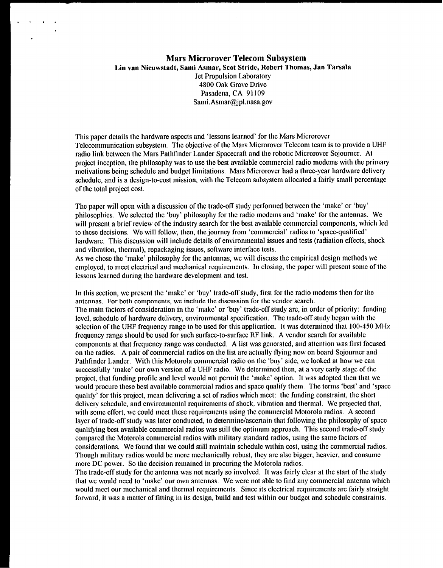# **Mars Microrover Telecom Subsystem Lln van Nieuwstadt, Sami Asmar, Scot Stride, Robert Thomas, Jan Tarsala** Jet **Propulsion Laboratory 4800** Oak Grove Drive Pasadena, CA 91109 Sami.Asmar@jpl,nasa.gov

This paper details the hardware aspects and 'lessons learned' for the Mars Microrovcr Telecommunication subsystem. The objective of the Mars Microrover Telecom team is to provide a UHF radio link between the Mars Pathfinder Lander Spacecraft and the robotic Microrovcr Sojourner. At projeci inception, the philosophy was to use the best available commercial radio modems with the primary motivations being schedule and budget limitations. Mars Microrover had a three-year hardware delivery schedule, and is a design-to-cost mission, with the Telecom subsystem allocated a fairly small percentage of the total project cost.

The paper will open with a discussion of the trade-off study performed between the 'make' or 'buy' philosophies. We selcctcd the 'buy' philosophy for the radio modems and 'make' for the antennas. We will present a brief review of the industry search for the best available commercial components, which led to these decisions. We will follow, then, the journey from 'commercial' radios to 'space-qualified' hardware. This discussion will include details of environmental issues and tests (radiation effects, shock and vibration, thermal), repackaging issues, soflwarc interface tests.

As we chose the 'make' philosophy for the antennas, wc will discuss the empirical design methods we employed, to meet electrical and mechanical requirements. In closing, the paper will present some of the lessons learned during the hardware development and test.

In this section, we present the 'make' or 'buy' trade-off study, first for the radio modems then for the antennas. For both components, we include the discussion for the vendor search. The main factors of consideration in the 'make' or 'buy' trade-off study arc, in order of priority: funding level, schedule of hardware delivery, environmental specification. The trade-off study began with the selection of the UHF frequency range to be used for this application. It was determined that 100-450 MHz frequency range should bc used for such surface-to-surface RF link. A vendor search for available components at that frequency range was conducted. A list was gcnoratcd, and attention was first focused on the radios. A pair of commercial radios on the list are actually flying now on board Sojourner and Pathfinder Lander. With this Motorola commercial radio on the 'buy' side, wc looked at how wc can successfully 'make' our own version of a UHF radio. We determined then, at a very early stage of the project, that funding profile and level would not permit the 'make' option. It was adopted then that we would procure these best available commercial radios and space qualify them. The terms 'best' and 'space qualify' for this project, mean delivering a set of radios which meet: the funding constraint, the short delivery schedule, and environmental requirements of shock, vibration and thermal. We projected that, with some effort, we could meet these requirements using the commercial Motorola radios. A second layer of trade-off study was later conducted, to determine/ascertain that following the philosophy of space qualifying best available commercial radios was still the optimum approach, This second trade-off study compared the Motorola commercial radios with military standard radios, using the same factors of considerations. We found that wc could still maintain schedule within cost, using the commercial radios. Though military radios would be more mechanically robust, they are also bigger, heavier, and consume more DC power. So the decision remained in procuring the Motorola radios.

The trade-off study for the antenna was not nearly so involved. 11was fairly clear at the start of the study that wc would need to 'make' our own antennas, We were not able to find any commercial antenna which would meet our mechanical and thermal requirements. Since its electrical requirements are fairly straight forward, it was a matter of fitting in its design, build and test within our budget and schedule constraints.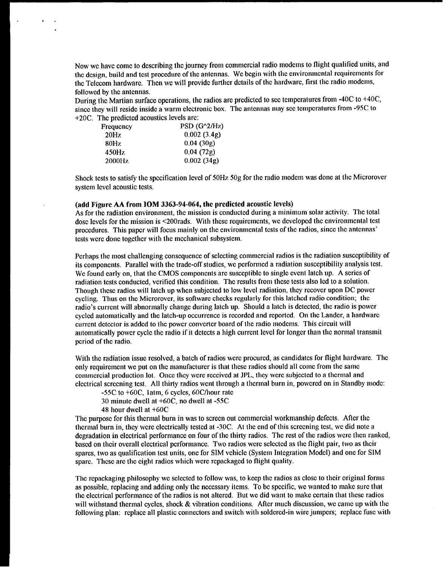Now we have come to describing the journey from commercial radio modems to flight qualified units, and the design, build and test procedure of the antennas. We begin with the environmental requirements for the Telecom hardware. Then we will provide further details of the hardware, first the radio modems, followed by the antennas.

During the Martian surface operations, the radios are predicted to sec temperatures from -40C to +40C, since they will reside inside a warm electronic box. The antennas may see temperatures from -95C to +20C. The predicted acoustics levels are:

| $PSD(G^2/HZ)$ |
|---------------|
| 0.002(3.4g)   |
| 0.04(30g)     |
| 0.04(72g)     |
| 0.002(34g)    |
|               |

Shock tests to satisfy the specification level of 50Hz 50g for the radio modem was done at the Microrover system level acoustic tests.

### **(add Figure AA from IOM 3363-94-064, the predicted acoustic levels)**

As for the radiation environment, the mission is conducted during a minimum solar activity. The total dose levels for the mission is <200rads. With these requirements, we developed the environmental test procedures. This paper will focus mainly on the environmental tests of the radios, since the antennas' tests were done together with the mechanical subsystem.

Perhaps the most challenging consequence of selecting commercial radios is the radiation susceptibility of its components. Parallel with the trade-off studies, we performed a radiation susceptibility analysis test. We found early on, that the CMOS components are susceptible to single event latch up. A series of radiation tests conducted, verified this condition. The results from these tests also led to a solution. Though these radios will latch up when subjected to low level radiation, they recover upon DC power cycling. Thus on the Microrover, its software checks regularly for this latched radio condition; the radio's current will abnormally change during latch up. Should a latch is detected, the radio is power cycled automatically and the latch-up occurrence is recorded and reported. On the Lander, a hardware current detector is added to the power converter board of the radio modems. This circuit will automatically power cycle the radio if it detects a high current level for longer than the normal transmit period of the radio.

With the radiation issue resolved, a batch of radios were procured, as candidates for flight hardware. The only requirement we put on the manufacturer is that these radios should all come from the same commercial production lot. Once they were received at JPL, they were subjected to a thermal and electrical screening test. All thirty radios went through a thermal burn in, powered on in Standby mode:

-55C to +60C, 1atm, 6 cycles, 60C/hour rate

30 minute dwell at +60C, no dwell at -55C

48 hour dwell at +60C

The purpose for this thermal burn in was to screen out commercial workmanship defects. After the thermal burn in, they were electrically tested at -30C. At the end of this screening test, we did note a degradation in electrical performance on four of the thirty radios. The rest of the radios were then ranked, based on their overall electrical performance. Two radios were selected as the flight pair, two as their spares, two as qualification test units, one for SIM vehicle (System Integration Model) and one for SIM spare. These arc the eight radios which were repackaged to flight quality.

The repackaging philosophy we selected to follow was, to keep the radios as close to their original forms as possible, replacing and adding only the necessary items. To be specific, we wanted to make sure that the electrical performance of the radios is not altered. But wc did want to make certain that these radios will withstand thermal cycles, shock  $\&$  vibration conditions. After much discussion, we came up with the following plan: replace all plastic connectors and switch with soldered-in wire jumpers; replace fuse with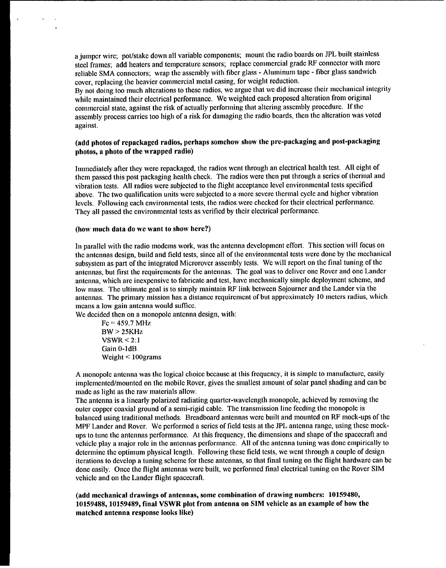a jumper wire; pot/stake down all variable components; mount the radio boards on JPL built stainless steel frames; add heaters and temperature sensors; replace commercial grade RF connector with more reliable SMA connectors; wrap the assembly with fiber glass - Aluminum tape - fiber glass sandwich cover, replacing the heavier commercial metal casing, for weight reduction.

By not doing too much alterations to these radios, wc argue that wc did increase their mechanical integrity while maintained their electrical performance, We weighted each proposed alteration from original commercial state, against the risk of actually performing that altering assembly procedure. If the assembly process carries too high of a risk for damaging the radio boards, then the alteration was voted against.

# **(add photos of repackaged radios, perhaps somehow show the prc-packaging and post-packaging photos, a photo of the wrapped radio)**

Immediately after they were repackaged, the radios went through an electrical health test. All eight of them passed this post packaging health check. The radios were then put through a series of thermal and vibration tests. All radios were subjected to the flight acceptance level environmental tests specified above. The two qualification units were subjected to a more severe thermal cycle and higher vibration levels. Following each environmental tests, the radios were checked for their electrical performance. They all passed the environmental tests as verified by their electrical performance.

#### **(how much data do wc want to show here?)**

 $\overline{a}$ 

In parallel with the radio modems work, was the antenna development effort. This section will focus on the antennas design, build and field tests, since all of the environmental tests were done by the mechanical subsystem as part of the integrated Microrover assembly tests. We will report on the final tuning of the antennas, but first the requirements for the antennas. The goal was to deliver one Rover and one Lander antenna, which are inexpensive to fabricate and test, have mechanically simple deployment scheme, and low mass. The ultimate goal is to simply maintain RF link between Sojourner and the Lander via the antennas. The primary mission has a distance requirement of but approximately 10 meters radius, which means a low gain antenna would suffice.

We decided then on a monopole antenna design, with:

 $Fc = 459.7 \text{ MHz}$  $BW > 25KHz$  $VSWR < 2:1$ Gain O-ldB Weight < 100grams

A monopole antenna was the logical choice because at this frequency, it is simple to manufacture, easily implemented/mounted on the mobile Rover, gives the smallest amount of solar panel shading and can be made as light as the raw materials allow.

The antenna is a linearly polarized radiating quarter-wavelength monopole, achieved by removing the outer copper coaxial ground of a semi-rigid cable. The transmission line feeding the monopole is balanced using traditional methods. Breadboard antennas were built and mounted on RF mock-ups of the MPF Lander and Rover. We performed a series of field tests at the JPL antenna range, using these mockups to tune the antennas performance. At this frequency, the dimensions and shape of the spacecraft and vehicle play a major role in the antennas performance. All of the antenna tuning was done empirically to determine the optimum physical length. Following these field tests, we went through a couple of design iterations to develop a tuning scheme for these antennas, so that final tuning on the flight hardware can be done easily. Once the flight antennas were built, we performed final electrical tuning on the Rover SIM vehicle and on the Lander flight spacecraft.

**(add mechanical drawings of antennas, some combination of drawing numbers: 10159480, 101S9488, 10159489, final VSWR plot from antenna on SIM vchiclc as an example of how the matched antenna response looks Iikc)**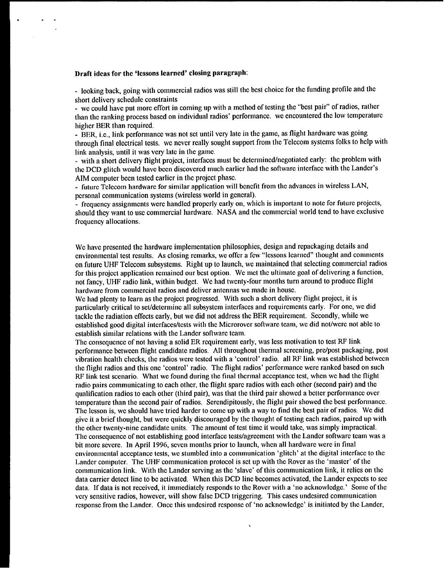### **Draft ideas for the 'lessons Icarncd' closing paragraph:**

- looking back, going with commercial radios was still the best choice for the funding profile and the short delivery schedule constraints

- wc could have put more effort in coming up with a method of testing the "best pair" of radios, rather than the ranking process based on individual radios' performance. wc encountered the low temperature higher BER than required.

- BER, i.e., link performance was not set until very late in the game, as flight hardware was going through final electrical tests. we never really sought support from the Telecom systems folks to help with link analysis, until it was very late in the game.

- with a short delivery flight project, interfaces must be determined/negotiated early: the problem with the DCD glitch would have been discovered much earlier had the software interface with the Lander's AIM computer been tested earlier in the project phase.

- fllture Telecom hardware for similar application will benefit from the advances in wireless LAN, personal communication systems (wireless world in general).

- frequency assignments were handled properly early on, which is important to note for future projects, should they want to usc commercial hardware. NASA and the commercial world tend to have exclusive frequency allocations.

We have presented the hardware implementation philosophies, design and repackaging details and environmental test results. As closing remarks, we offer a few "lessons learned' thought and comments on future UHF Telecom subsystems. Right up to launch, we maintained that selecting commercial radios for this project application remained our best option. We met the ultimate goal of delivering a function, not fancy, UHF radio link, within budget. We had twenty-four months turn around to produce flight hardware from commercial radios and deliver antennas we made in house.

We had plenty to learn as the project progressed. With such a short delivery flight project, it is particularly critical to set/determine all subsystem interfaces and requirements early. For one, we did tackle the radiation effects early, but we did not address the BER requirement. Secondly, while we established good digital interfaces/tests with the Microrover software team, we did notiwere not able to establish similar relations with the Lander sofiware team.

The consequence of not having a solid ER requirement early, was less motivation to test RF link performance between flight candidate radios. All throughout thermal screening, pre/post packaging, post vibration health checks, the radios were tested with a 'control' radio. all RF link was established between the flight radios and this one 'control' radio. The flight radios' performance were ranked based on such RF link test scenario. What we found during the final thermal acceptance test, when we had the flight radio pairs communicating to each other, the flight spare radios with each other (second pair) and the qualification radios to each other (third pair), was that the third pair showed a better performance over temperature than the second pair of radios. Serendipitously, the flight pair showed the best performance. The lesson is, we should have tried harder to come up with a way to find the best pair of radios. We did give it a brief thought, but were quickly discouraged by the thought of testing each radios, paired up with the other twenty-nine candidate units. The amount of test time it would take, was simply impractical. The consequence of not establishing good interface tests/agreement with the Lander software team was a bit more severe. In April 1996, seven months prior to launch, when all hardware were in final environmental acceptance tests, wc stumbled into a communication 'glitch' at the digital interface to the Lander computer. The UHF communication protocol is setup with the Rover as the 'master' of the communication link. With the Lander serving as the 'slave' of this communication link, it relies on the data carrier detect line to be activated. When this DCD line becomes activated, the Lander expects to see data. If data is not received, it immediately responds to the Rover with a 'no acknowledge.' Some of the very sensitive radios, however, will show false DCD triggering. This cases undesired communication response from the Lander. Once this undesired response of 'no acknowledge' is initiated by the Lander,

 $\overline{\phantom{0}}$